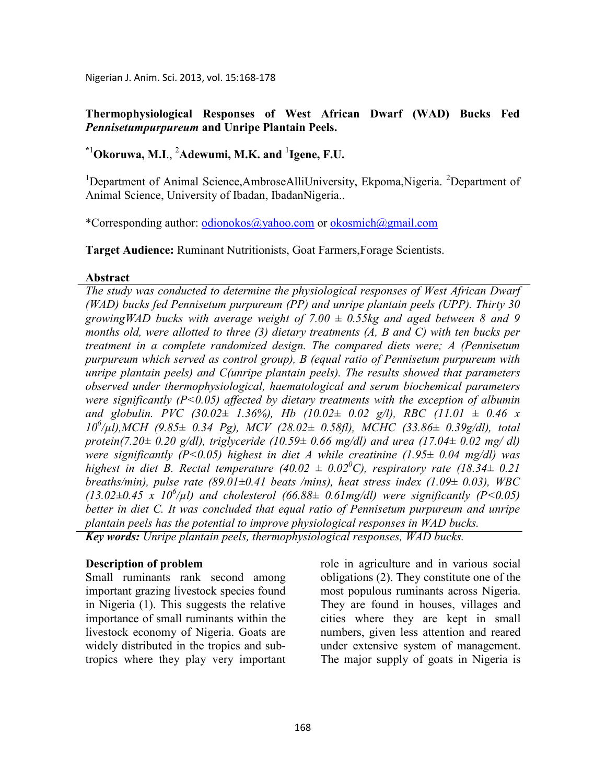Nigerian J. Anim. Sci. 2013, vol. 15:168-178

#### **Thermophysiological Responses of West African Dwarf (WAD) Bucks Fed**  *Pennisetumpurpureum* **and Unripe Plantain Peels.**

# **\***<sup>1</sup>**Okoruwa, M.I**., <sup>2</sup>**Adewumi, M.K. and** <sup>1</sup> **Igene, F.U.**

<sup>1</sup>Department of Animal Science, Ambrose AlliUniversity, Ekpoma, Nigeria. <sup>2</sup>Department of Animal Science, University of Ibadan, IbadanNigeria..

\*Corresponding author: odionokos@yahoo.com or okosmich@gmail.com

**Target Audience:** Ruminant Nutritionists, Goat Farmers,Forage Scientists.

#### **Abstract**

*The study was conducted to determine the physiological responses of West African Dwarf (WAD) bucks fed Pennisetum purpureum (PP) and unripe plantain peels (UPP). Thirty 30*  growingWAD bucks with average weight of  $7.00 \pm 0.55$ kg and aged between 8 and 9 *months old, were allotted to three (3) dietary treatments (A, B and C) with ten bucks per treatment in a complete randomized design. The compared diets were; A (Pennisetum purpureum which served as control group), B (equal ratio of Pennisetum purpureum with unripe plantain peels) and C(unripe plantain peels). The results showed that parameters observed under thermophysiological, haematological and serum biochemical parameters were significantly (P<0.05) affected by dietary treatments with the exception of albumin and globulin. PVC (30.02± 1.36%), Hb (10.02± 0.02 g/l), RBC (11.01 ± 0.46 x 10<sup>6</sup> /µl),MCH (9.85± 0.34 Pg), MCV (28.02± 0.58fl), MCHC (33.86± 0.39g/dl), total protein(7.20± 0.20 g/dl), triglyceride (10.59± 0.66 mg/dl) and urea (17.04± 0.02 mg/ dl) were significantly (P<0.05) highest in diet A while creatinine (1.95± 0.04 mg/dl) was highest in diet B. Rectal temperature (40.02*  $\pm$  *0.02<sup>°</sup>C), respiratory rate (18.34* $\pm$  *0.21 breaths/min), pulse rate (89.01±0.41 beats /mins), heat stress index (1.09± 0.03), WBC*   $(13.02\pm0.45 \times 10^6/\mu l)$  and cholesterol  $(66.88\pm 0.61 \text{mg/d}l)$  were significantly  $(P<0.05)$ *better in diet C. It was concluded that equal ratio of Pennisetum purpureum and unripe plantain peels has the potential to improve physiological responses in WAD bucks. Key words: Unripe plantain peels, thermophysiological responses, WAD bucks.*

#### **Description of problem**

Small ruminants rank second among important grazing livestock species found in Nigeria (1). This suggests the relative importance of small ruminants within the livestock economy of Nigeria. Goats are widely distributed in the tropics and subtropics where they play very important role in agriculture and in various social obligations (2). They constitute one of the most populous ruminants across Nigeria. They are found in houses, villages and cities where they are kept in small numbers, given less attention and reared under extensive system of management. The major supply of goats in Nigeria is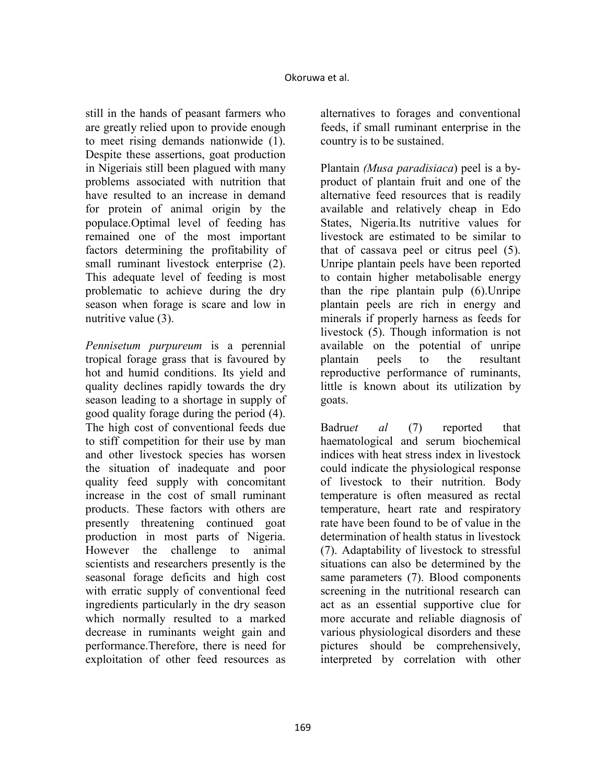still in the hands of peasant farmers who are greatly relied upon to provide enough to meet rising demands nationwide (1). Despite these assertions, goat production in Nigeriais still been plagued with many problems associated with nutrition that have resulted to an increase in demand for protein of animal origin by the populace.Optimal level of feeding has remained one of the most important factors determining the profitability of small ruminant livestock enterprise (2). This adequate level of feeding is most problematic to achieve during the dry season when forage is scare and low in nutritive value (3).

*Pennisetum purpureum* is a perennial tropical forage grass that is favoured by hot and humid conditions. Its yield and quality declines rapidly towards the dry season leading to a shortage in supply of good quality forage during the period (4). The high cost of conventional feeds due to stiff competition for their use by man and other livestock species has worsen the situation of inadequate and poor quality feed supply with concomitant increase in the cost of small ruminant products. These factors with others are presently threatening continued goat production in most parts of Nigeria. However the challenge to animal scientists and researchers presently is the seasonal forage deficits and high cost with erratic supply of conventional feed ingredients particularly in the dry season which normally resulted to a marked decrease in ruminants weight gain and performance.Therefore, there is need for exploitation of other feed resources as

alternatives to forages and conventional feeds, if small ruminant enterprise in the country is to be sustained.

Plantain *(Musa paradisiaca*) peel is a byproduct of plantain fruit and one of the alternative feed resources that is readily available and relatively cheap in Edo States, Nigeria.Its nutritive values for livestock are estimated to be similar to that of cassava peel or citrus peel (5). Unripe plantain peels have been reported to contain higher metabolisable energy than the ripe plantain pulp (6).Unripe plantain peels are rich in energy and minerals if properly harness as feeds for livestock (5). Though information is not available on the potential of unripe plantain peels to the resultant reproductive performance of ruminants, little is known about its utilization by goats.

Badru*et al* (7) reported that haematological and serum biochemical indices with heat stress index in livestock could indicate the physiological response of livestock to their nutrition. Body temperature is often measured as rectal temperature, heart rate and respiratory rate have been found to be of value in the determination of health status in livestock (7). Adaptability of livestock to stressful situations can also be determined by the same parameters (7). Blood components screening in the nutritional research can act as an essential supportive clue for more accurate and reliable diagnosis of various physiological disorders and these pictures should be comprehensively, interpreted by correlation with other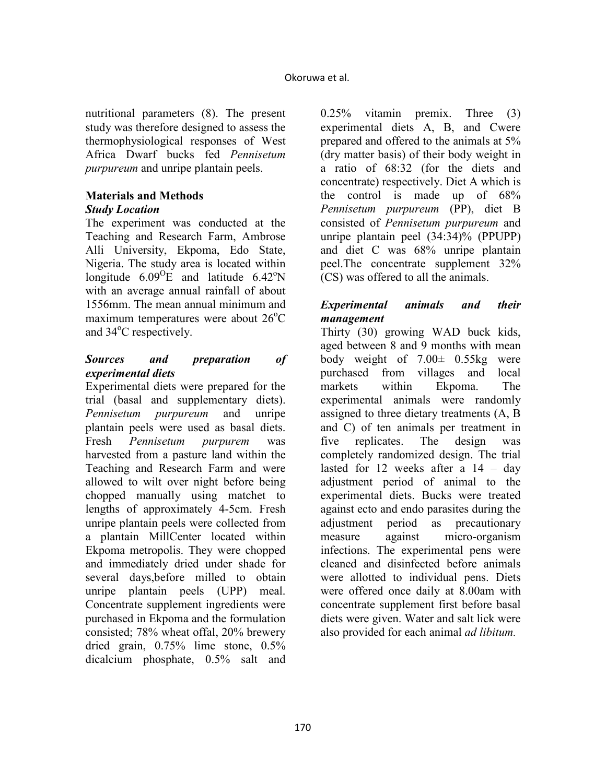nutritional parameters (8). The present study was therefore designed to assess the thermophysiological responses of West Africa Dwarf bucks fed *Pennisetum purpureum* and unripe plantain peels.

# **Materials and Methods**

# *Study Location*

The experiment was conducted at the Teaching and Research Farm, Ambrose Alli University, Ekpoma, Edo State, Nigeria. The study area is located within longitude  $6.09^{\circ}$ E and latitude  $6.42^{\circ}$ N with an average annual rainfall of about 1556mm. The mean annual minimum and maximum temperatures were about  $26^{\circ}$ C and 34<sup>o</sup>C respectively.

### *Sources and preparation of experimental diets*

Experimental diets were prepared for the trial (basal and supplementary diets). *Pennisetum purpureum* and unripe plantain peels were used as basal diets. Fresh *Pennisetum purpurem* was harvested from a pasture land within the Teaching and Research Farm and were allowed to wilt over night before being chopped manually using matchet to lengths of approximately 4-5cm. Fresh unripe plantain peels were collected from a plantain MillCenter located within Ekpoma metropolis. They were chopped and immediately dried under shade for several days,before milled to obtain unripe plantain peels (UPP) meal. Concentrate supplement ingredients were purchased in Ekpoma and the formulation consisted; 78% wheat offal, 20% brewery dried grain, 0.75% lime stone, 0.5% dicalcium phosphate, 0.5% salt and 0.25% vitamin premix. Three (3) experimental diets A, B, and Cwere prepared and offered to the animals at 5% (dry matter basis) of their body weight in a ratio of 68:32 (for the diets and concentrate) respectively. Diet A which is the control is made up of 68% *Pennisetum purpureum* (PP), diet B consisted of *Pennisetum purpureum* and unripe plantain peel (34:34)% (PPUPP) and diet C was 68% unripe plantain peel.The concentrate supplement 32% (CS) was offered to all the animals.

# *Experimental animals and their management*

Thirty (30) growing WAD buck kids, aged between 8 and 9 months with mean body weight of 7.00*±* 0.55kg were purchased from villages and local markets within Ekpoma. The experimental animals were randomly assigned to three dietary treatments (A, B and C) of ten animals per treatment in five replicates. The design was completely randomized design. The trial lasted for 12 weeks after a  $14 - day$ adjustment period of animal to the experimental diets. Bucks were treated against ecto and endo parasites during the adjustment period as precautionary measure against micro-organism infections. The experimental pens were cleaned and disinfected before animals were allotted to individual pens. Diets were offered once daily at 8.00am with concentrate supplement first before basal diets were given. Water and salt lick were also provided for each animal *ad libitum.*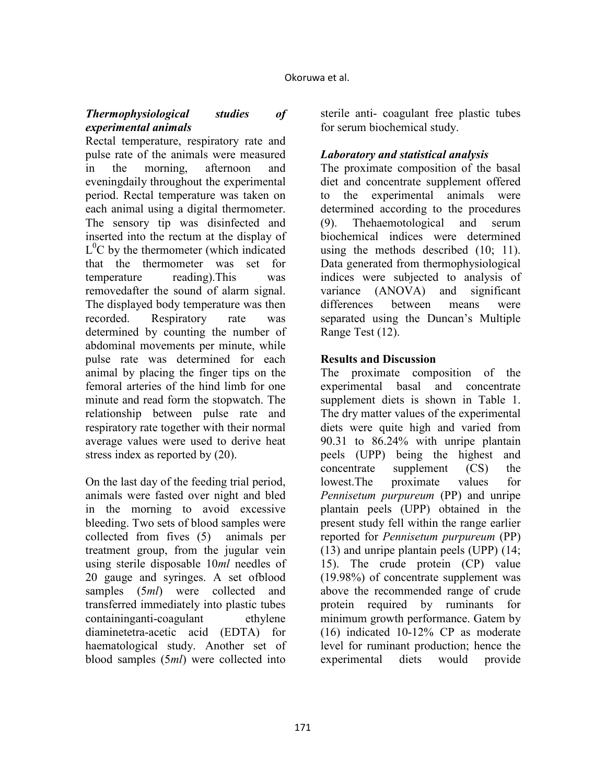### *Thermophysiological studies of experimental animals*

Rectal temperature, respiratory rate and pulse rate of the animals were measured in the morning, afternoon and eveningdaily throughout the experimental period. Rectal temperature was taken on each animal using a digital thermometer. The sensory tip was disinfected and inserted into the rectum at the display of  $L^{0}$ C by the thermometer (which indicated that the thermometer was set for temperature reading).This was removedafter the sound of alarm signal. The displayed body temperature was then recorded. Respiratory rate was determined by counting the number of abdominal movements per minute, while pulse rate was determined for each animal by placing the finger tips on the femoral arteries of the hind limb for one minute and read form the stopwatch. The relationship between pulse rate and respiratory rate together with their normal average values were used to derive heat stress index as reported by (20).

On the last day of the feeding trial period, animals were fasted over night and bled in the morning to avoid excessive bleeding. Two sets of blood samples were collected from fives (5) animals per treatment group, from the jugular vein using sterile disposable 10*ml* needles of 20 gauge and syringes. A set ofblood samples (5*ml*) were collected and transferred immediately into plastic tubes containinganti-coagulant ethylene diaminetetra-acetic acid (EDTA) for haematological study. Another set of blood samples (5*ml*) were collected into sterile anti- coagulant free plastic tubes for serum biochemical study.

# *Laboratory and statistical analysis*

The proximate composition of the basal diet and concentrate supplement offered to the experimental animals were determined according to the procedures (9). Thehaemotological and serum biochemical indices were determined using the methods described (10; 11). Data generated from thermophysiological indices were subjected to analysis of variance (ANOVA) and significant differences between means were separated using the Duncan's Multiple Range Test (12).

### **Results and Discussion**

The proximate composition of the experimental basal and concentrate supplement diets is shown in Table 1. The dry matter values of the experimental diets were quite high and varied from 90.31 to 86.24% with unripe plantain peels (UPP) being the highest and concentrate supplement (CS) the lowest.The proximate values for *Pennisetum purpureum* (PP) and unripe plantain peels (UPP) obtained in the present study fell within the range earlier reported for *Pennisetum purpureum* (PP) (13) and unripe plantain peels (UPP) (14; 15). The crude protein (CP) value (19.98%) of concentrate supplement was above the recommended range of crude protein required by ruminants for minimum growth performance. Gatem by (16) indicated 10-12% CP as moderate level for ruminant production; hence the experimental diets would provide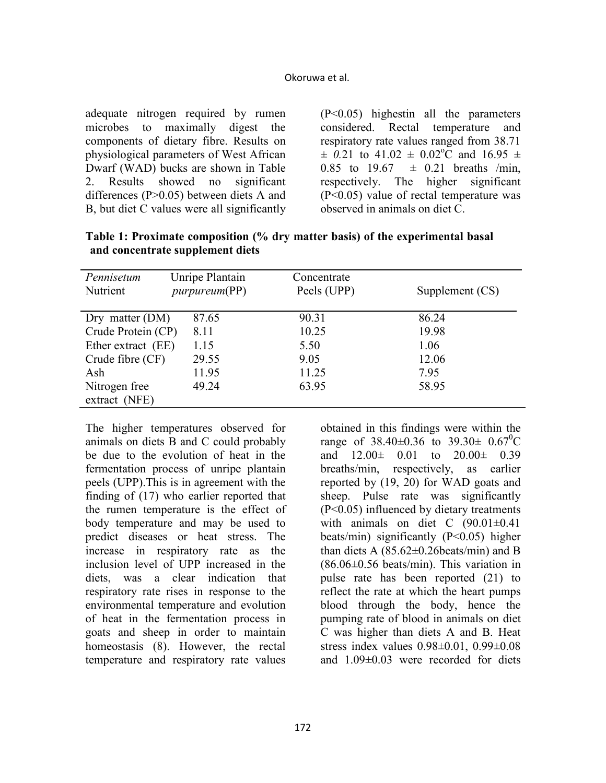#### Okoruwa et al.

adequate nitrogen required by rumen microbes to maximally digest the components of dietary fibre. Results on physiological parameters of West African Dwarf (WAD) bucks are shown in Table 2. Results showed no significant differences (P>0.05) between diets A and B, but diet C values were all significantly

(P<0.05) highestin all the parameters considered. Rectal temperature and respiratory rate values ranged from 38.71  $\pm$  0.21 to 41.02  $\pm$  0.02<sup>o</sup>C and 16.95  $\pm$ 0.85 to 19.67  $\pm$  0.21 breaths /min, respectively. The higher significant (P<0.05) value of rectal temperature was observed in animals on diet C.

| Pennisetum         | Unripe Plantain       | Concentrate |                 |
|--------------------|-----------------------|-------------|-----------------|
| Nutrient           | <i>purpureum</i> (PP) | Peels (UPP) | Supplement (CS) |
|                    |                       |             |                 |
| Dry matter $(DM)$  | 87.65                 | 90.31       | 86.24           |
| Crude Protein (CP) | 8.11                  | 10.25       | 19.98           |
| Ether extract (EE) | 1.15                  | 5.50        | 1.06            |
| Crude fibre (CF)   | 29.55                 | 9.05        | 12.06           |
| Ash                | 11.95                 | 11.25       | 7.95            |
| Nitrogen free      | 49.24                 | 63.95       | 58.95           |
| extract (NFE)      |                       |             |                 |

**Table 1: Proximate composition (% dry matter basis) of the experimental basal and concentrate supplement diets** 

The higher temperatures observed for animals on diets B and C could probably be due to the evolution of heat in the fermentation process of unripe plantain peels (UPP).This is in agreement with the finding of (17) who earlier reported that the rumen temperature is the effect of body temperature and may be used to predict diseases or heat stress. The increase in respiratory rate as the inclusion level of UPP increased in the diets, was a clear indication that respiratory rate rises in response to the environmental temperature and evolution of heat in the fermentation process in goats and sheep in order to maintain homeostasis (8). However, the rectal temperature and respiratory rate values

obtained in this findings were within the range of  $38.40 \pm 0.36$  to  $39.30 \pm 0.67$ <sup>o</sup>C and 12.00*±* 0.01 to 20.00*±* 0.39 breaths/min, respectively, as earlier reported by (19, 20) for WAD goats and sheep. Pulse rate was significantly (P<0.05) influenced by dietary treatments with animals on diet C (90.01*±*0.41 beats/min) significantly (P<0.05) higher than diets A (85.62*±*0.26beats/min) and B (86.06*±*0.56 beats/min). This variation in pulse rate has been reported (21) to reflect the rate at which the heart pumps blood through the body, hence the pumping rate of blood in animals on diet C was higher than diets A and B. Heat stress index values 0.98*±*0.01, 0.99*±*0.08 and 1.09*±*0.03 were recorded for diets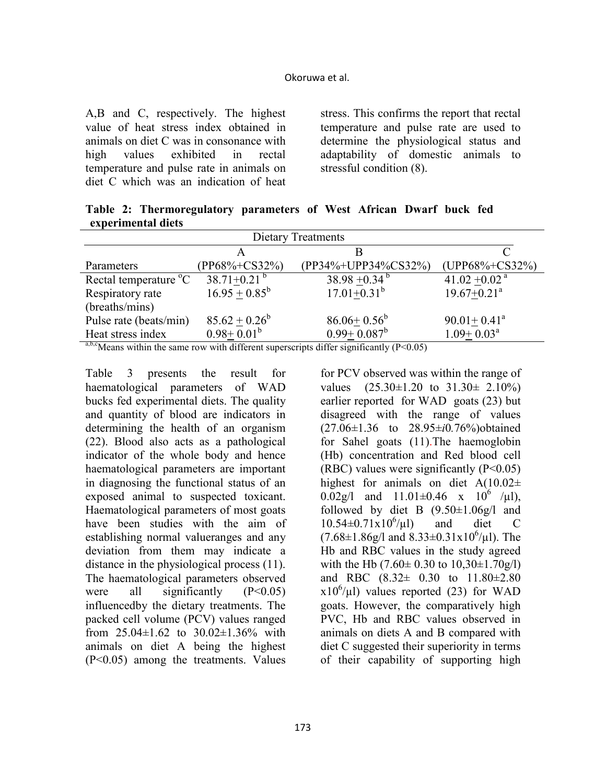A,B and C, respectively. The highest value of heat stress index obtained in animals on diet C was in consonance with high values exhibited in rectal temperature and pulse rate in animals on diet C which was an indication of heat stress. This confirms the report that rectal temperature and pulse rate are used to determine the physiological status and adaptability of domestic animals to stressful condition (8).

**Table 2: Thermoregulatory parameters of West African Dwarf buck fed experimental diets** 

| Dietary Treatments                |                               |                                                                                                                                                                                                                                                                                                                                                             |                               |  |  |
|-----------------------------------|-------------------------------|-------------------------------------------------------------------------------------------------------------------------------------------------------------------------------------------------------------------------------------------------------------------------------------------------------------------------------------------------------------|-------------------------------|--|--|
|                                   |                               |                                                                                                                                                                                                                                                                                                                                                             |                               |  |  |
| Parameters                        | (PP68%+CS32%)                 | (PP34%+UPP34%CS32%)                                                                                                                                                                                                                                                                                                                                         | $(UPP68\% + CS32\%)$          |  |  |
| Rectal temperature <sup>o</sup> C | 38.71 $\pm$ 0.21 <sup>b</sup> | $38.98 + 0.34^{b}$                                                                                                                                                                                                                                                                                                                                          | 41.02 $\pm$ 0.02 <sup>a</sup> |  |  |
| Respiratory rate                  | $16.95 + 0.85^b$              | $17.01 + 0.31^{b}$                                                                                                                                                                                                                                                                                                                                          | $19.67 + 0.21$ <sup>a</sup>   |  |  |
| (breaths/mins)                    |                               |                                                                                                                                                                                                                                                                                                                                                             |                               |  |  |
| Pulse rate (beats/min)            | $85.62 \pm 0.26^b$            | $86.06 \pm 0.56^b$                                                                                                                                                                                                                                                                                                                                          | $90.01 + 0.41^a$              |  |  |
| Heat stress index                 | $0.98 + 0.01^b$               | $0.99 + 0.087^b$                                                                                                                                                                                                                                                                                                                                            | $1.09 + 0.03^a$               |  |  |
| abcorrection $\mathbf{a}$         | $\cdot$ 1 $\cdot$ 00          | $\mathcal{C}$ $\mathcal{C}$ $\mathcal{C}$ $\mathcal{C}$ $\mathcal{C}$ $\mathcal{C}$ $\mathcal{C}$ $\mathcal{C}$ $\mathcal{C}$ $\mathcal{C}$ $\mathcal{C}$ $\mathcal{C}$ $\mathcal{C}$ $\mathcal{C}$ $\mathcal{C}$ $\mathcal{C}$ $\mathcal{C}$ $\mathcal{C}$ $\mathcal{C}$ $\mathcal{C}$ $\mathcal{C}$ $\mathcal{C}$ $\mathcal{C}$ $\mathcal{C}$ $\mathcal{$ |                               |  |  |

<sup>a,b,c</sup>Means within the same row with different superscripts differ significantly (P<0.05)

Table 3 presents the result for haematological parameters of WAD bucks fed experimental diets. The quality and quantity of blood are indicators in determining the health of an organism (22). Blood also acts as a pathological indicator of the whole body and hence haematological parameters are important in diagnosing the functional status of an exposed animal to suspected toxicant. Haematological parameters of most goats have been studies with the aim of establishing normal valueranges and any deviation from them may indicate a distance in the physiological process (11). The haematological parameters observed were all significantly  $(P<0.05)$ influencedby the dietary treatments. The packed cell volume (PCV) values ranged from 25.04*±*1.62 to 30.02±1.36% with animals on diet A being the highest (P<0.05) among the treatments. Values

for PCV observed was within the range of values (25.30*±*1.20 to 31.30*±* 2.10%) earlier reported for WAD goats (23) but disagreed with the range of values (27.06*±*1.36 to 28.95*±i*0*.*76%)obtained for Sahel goats (11).The haemoglobin (Hb) concentration and Red blood cell (RBC) values were significantly  $(P<0.05)$ highest for animals on diet A(10.02*±* 0.02g/l and  $11.01 \pm 0.46$  x  $10^6$  /µl), followed by diet B  $(9.50 \pm 1.06g)$  and  $10.54\pm0.71x10^{6}/\mu$ l) and diet C  $(7.68 \pm 1.86 \text{g/l} \text{ and } 8.33 \pm 0.31 \text{x} 10^6/\text{\mu l}).$  The Hb and RBC values in the study agreed with the Hb  $(7.60 \pm 0.30 \text{ to } 10,30 \pm 1.70 \text{ g/l})$ and RBC (8.32± 0.30 to 11.80±2.80  $x10^6/\mu$ l) values reported (23) for WAD goats. However, the comparatively high PVC, Hb and RBC values observed in animals on diets A and B compared with diet C suggested their superiority in terms of their capability of supporting high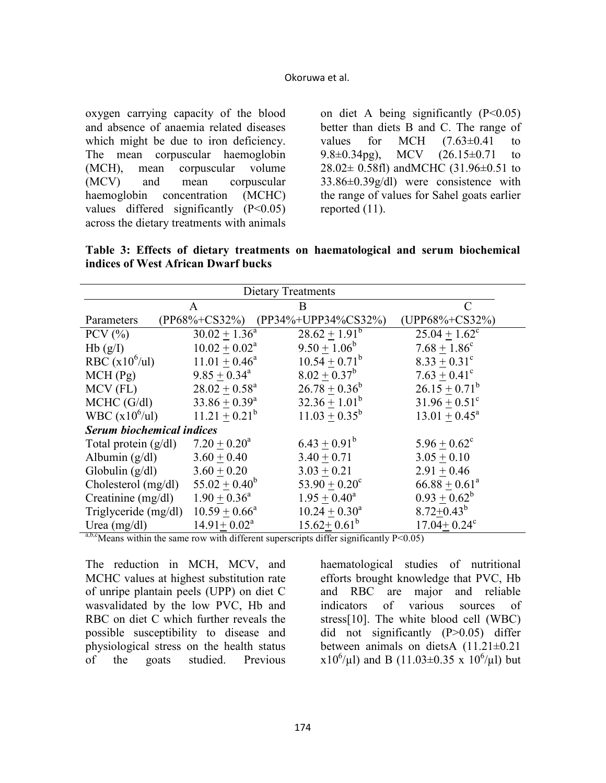oxygen carrying capacity of the blood and absence of anaemia related diseases which might be due to iron deficiency. The mean corpuscular haemoglobin (MCH), mean corpuscular volume (MCV) and mean corpuscular haemoglobin concentration (MCHC) values differed significantly  $(P<0.05)$ across the dietary treatments with animals

on diet A being significantly  $(P<0.05)$ better than diets B and C. The range of values for MCH  $(7.63\pm0.41)$  to 9.8 $\pm$ 0.34pg), MCV (26.15 $\pm$ 0.71 to  $28.02 \pm 0.58$ fl) and MCHC (31.96 $\pm$ 0.51 to 33.86±0.39g/dl) were consistence with the range of values for Sahel goats earlier reported (11).

**Table 3: Effects of dietary treatments on haematological and serum biochemical indices of West African Dwarf bucks** 

| <b>Dietary Treatments</b>        |                     |                        |                             |  |  |
|----------------------------------|---------------------|------------------------|-----------------------------|--|--|
|                                  | A                   | B                      |                             |  |  |
| Parameters                       | $(PP68\% + CS32\%)$ | (PP34%+UPP34%CS32%)    | $(UPP68\% + CS32\%)$        |  |  |
| PCV $(\% )$                      | $30.02 + 1.36^a$    | $28.62 + 1.91^b$       | $25.04 + 1.62^c$            |  |  |
| Hb(g/I)                          | $10.02 + 0.02^a$    | $9.50 + 1.06^b$        | $7.68 + 1.86^c$             |  |  |
| RBC $(x10^6/u)$                  | $11.01 + 0.46^a$    | $10.54 + 0.71^b$       | $8.33 + 0.31^{\circ}$       |  |  |
| MCH(Pg)                          | $9.85 + 0.34^a$     | $8.02 + 0.37^b$        | $7.63 + 0.41^{\circ}$       |  |  |
| MCV (FL)                         | $28.02 + 0.58^a$    | $26.78 + 0.36^b$       | $26.15 + 0.71^b$            |  |  |
| $MCHC$ (G/dl)                    | $33.86 + 0.39^a$    | $32.36 + 1.01^b$       | $31.96 + 0.51$ <sup>c</sup> |  |  |
| WBC $(x10^6/u)$                  | $11.21 + 0.21^b$    | $11.03 + 0.35^b$       | $13.01 + 0.45^a$            |  |  |
| <b>Serum biochemical indices</b> |                     |                        |                             |  |  |
| Total protein $(g/dl)$           | $7.20 + 0.20^a$     | $6.43 + 0.91^b$        | $5.96 + 0.62^c$             |  |  |
| Albumin $(g/dl)$                 | $3.60 + 0.40$       | $3.40 + 0.71$          | $3.05 + 0.10$               |  |  |
| Globulin $(g/dl)$                | $3.60 + 0.20$       | $3.03 + 0.21$          | $2.91 + 0.46$               |  |  |
| Cholesterol (mg/dl)              | $55.02 + 0.40^b$    | $53.90 + 0.20^{\circ}$ | $66.88 + 0.61^a$            |  |  |
| Creatinine $(mg/dl)$             | $1.90 + 0.36^a$     | $1.95 + 0.40^a$        | $0.93 + 0.62^b$             |  |  |
| Triglyceride (mg/dl)             | $10.59 + 0.66^a$    | $10.24 + 0.30^a$       | $8.72 + 0.43^b$             |  |  |
| Urea $(mg/dl)$                   | $14.91 + 0.02a$     | $15.62 + 0.61^b$       | $17.04 + 0.24$ <sup>c</sup> |  |  |

 $a,b,c$  Means within the same row with different superscripts differ significantly P<0.05)

The reduction in MCH, MCV, and MCHC values at highest substitution rate of unripe plantain peels (UPP) on diet C wasvalidated by the low PVC, Hb and RBC on diet C which further reveals the possible susceptibility to disease and physiological stress on the health status of the goats studied. Previous

haematological studies of nutritional efforts brought knowledge that PVC, Hb and RBC are major and reliable indicators of various sources of stress[10]. The white blood cell (WBC) did not significantly (P>0.05) differ between animals on dietsA (11.21±0.21  $x10^6/\mu l$ ) and B (11.03 $\pm$ 0.35 x 10<sup>6</sup>/ $\mu$ l) but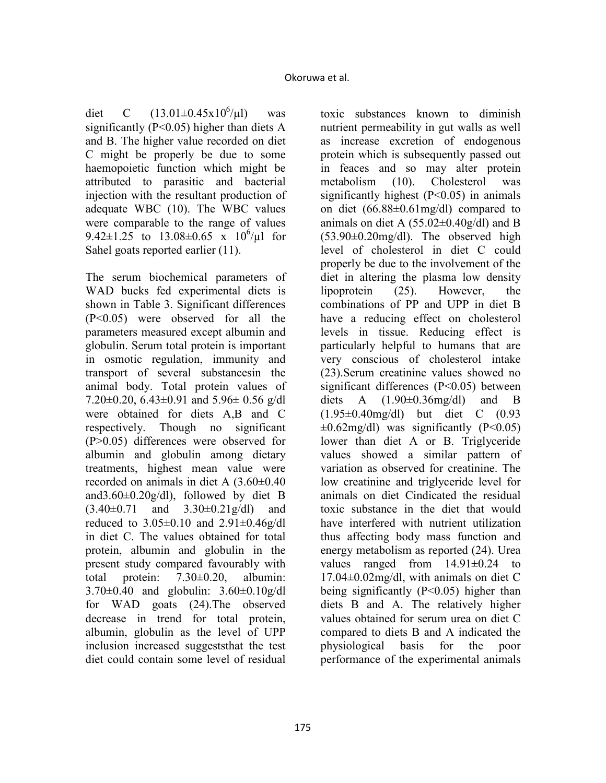diet C  $(13.01 \pm 0.45 \times 10^6/\mu l)$ was significantly ( $P \le 0.05$ ) higher than diets A and B. The higher value recorded on diet C might be properly be due to some haemopoietic function which might be attributed to parasitic and bacterial injection with the resultant production of adequate WBC (10). The WBC values were comparable to the range of values 9.42 $\pm$ 1.25 to 13.08 $\pm$ 0.65 x 10<sup>6</sup>/ $\mu$ 1 for Sahel goats reported earlier (11).

The serum biochemical parameters of WAD bucks fed experimental diets is shown in Table 3. Significant differences (P<0.05) were observed for all the parameters measured except albumin and globulin. Serum total protein is important in osmotic regulation, immunity and transport of several substancesin the animal body. Total protein values of 7.20 $\pm$ 0.20, 6.43 $\pm$ 0.91 and 5.96 $\pm$  0.56 g/dl were obtained for diets A,B and C respectively. Though no significant (P>0.05) differences were observed for albumin and globulin among dietary treatments, highest mean value were recorded on animals in diet A (3.60±0.40 and  $3.60 \pm 0.20$  g/dl), followed by diet B  $(3.40\pm0.71$  and  $3.30\pm0.21$  g/dl) and reduced to  $3.05\pm0.10$  and  $2.91\pm0.46g/dl$ in diet C. The values obtained for total protein, albumin and globulin in the present study compared favourably with total protein: 7.30±0.20, albumin: 3.70±0.40 and globulin: 3.60±0.10g/dl for WAD goats (24).The observed decrease in trend for total protein, albumin, globulin as the level of UPP inclusion increased suggeststhat the test diet could contain some level of residual

toxic substances known to diminish nutrient permeability in gut walls as well as increase excretion of endogenous protein which is subsequently passed out in feaces and so may alter protein metabolism (10). Cholesterol was significantly highest  $(P<0.05)$  in animals on diet (66.88±0.61mg/dl) compared to animals on diet A  $(55.02\pm0.40g/dl)$  and B  $(53.90\pm0.20$ mg/dl). The observed high level of cholesterol in diet C could properly be due to the involvement of the diet in altering the plasma low density lipoprotein (25). However, the combinations of PP and UPP in diet B have a reducing effect on cholesterol levels in tissue. Reducing effect is particularly helpful to humans that are very conscious of cholesterol intake (23).Serum creatinine values showed no significant differences (P<0.05) between diets A  $(1.90\pm0.36$ mg/dl) and B (1.95±0.40mg/dl) but diet C (0.93  $\pm 0.62$ mg/dl) was significantly (P<0.05) lower than diet A or B. Triglyceride values showed a similar pattern of variation as observed for creatinine. The low creatinine and triglyceride level for animals on diet Cindicated the residual toxic substance in the diet that would have interfered with nutrient utilization thus affecting body mass function and energy metabolism as reported (24). Urea values ranged from 14.91±0.24 to 17.04±0.02mg/dl, with animals on diet C being significantly (P<0.05) higher than diets B and A. The relatively higher values obtained for serum urea on diet C compared to diets B and A indicated the physiological basis for the poor performance of the experimental animals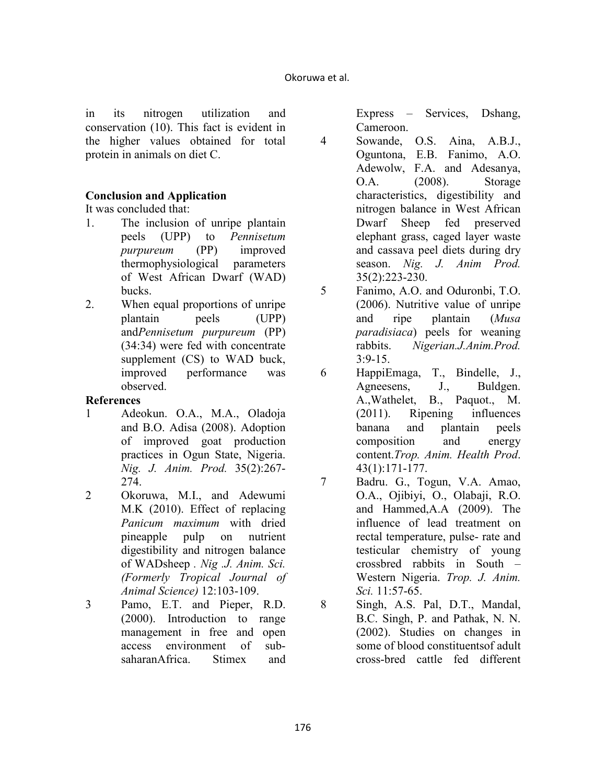in its nitrogen utilization and conservation (10). This fact is evident in the higher values obtained for total protein in animals on diet C.

## **Conclusion and Application**

# It was concluded that:

- 1. The inclusion of unripe plantain peels (UPP) to *Pennisetum purpureum* (PP) improved thermophysiological parameters of West African Dwarf (WAD) bucks.
- 2. When equal proportions of unripe plantain peels (UPP) and*Pennisetum purpureum* (PP) (34:34) were fed with concentrate supplement (CS) to WAD buck, improved performance was observed.

### **References**

- 1 Adeokun. O.A., M.A., Oladoja and B.O. Adisa (2008). Adoption of improved goat production practices in Ogun State, Nigeria. *ig. J. Anim. Prod.* 35(2):267- 274.
- 2 Okoruwa, M.I., and Adewumi M.K (2010). Effect of replacing *Panicum maximum* with dried pineapple pulp on nutrient digestibility and nitrogen balance of WADsheep . Nig .J. Anim. Sci. *(Formerly Tropical Journal of Animal Science)* 12:103-109.
- 3 Pamo, E.T. and Pieper, R.D. (2000). Introduction to range management in free and open access environment of subsaharanAfrica. Stimex and

Express – Services, Dshang, Cameroon.

- 4 Sowande, O.S. Aina, A.B.J., Oguntona, E.B. Fanimo, A.O. Adewolw, F.A. and Adesanya, O.A. (2008). Storage characteristics, digestibility and nitrogen balance in West African Dwarf Sheep fed preserved elephant grass, caged layer waste and cassava peel diets during dry season. *Nig. J. Anim Prod.* 35(2):223-230.
- 5 Fanimo, A.O. and Oduronbi, T.O. (2006). Nutritive value of unripe and ripe plantain (*Musa paradisiaca*) peels for weaning rabbits. *igerian.J.Anim.Prod.*  $3:9-15.$
- 6 HappiEmaga, T., Bindelle, J., Agneesens, J., Buldgen. A.,Wathelet, B., Paquot., M. (2011). Ripening influences banana and plantain peels composition and energy content.*Trop. Anim. Health Prod*. 43(1):171-177.
- 7 Badru. G., Togun, V.A. Amao, O.A., Ojibiyi, O., Olabaji, R.O. and Hammed,A.A (2009). The influence of lead treatment on rectal temperature, pulse- rate and testicular chemistry of young crossbred rabbits in South – Western Nigeria. *Trop. J. Anim. Sci.* 11:57-65.

8 Singh, A.S. Pal, D.T., Mandal, B.C. Singh, P. and Pathak, N. N. (2002). Studies on changes in some of blood constituentsof adult cross-bred cattle fed different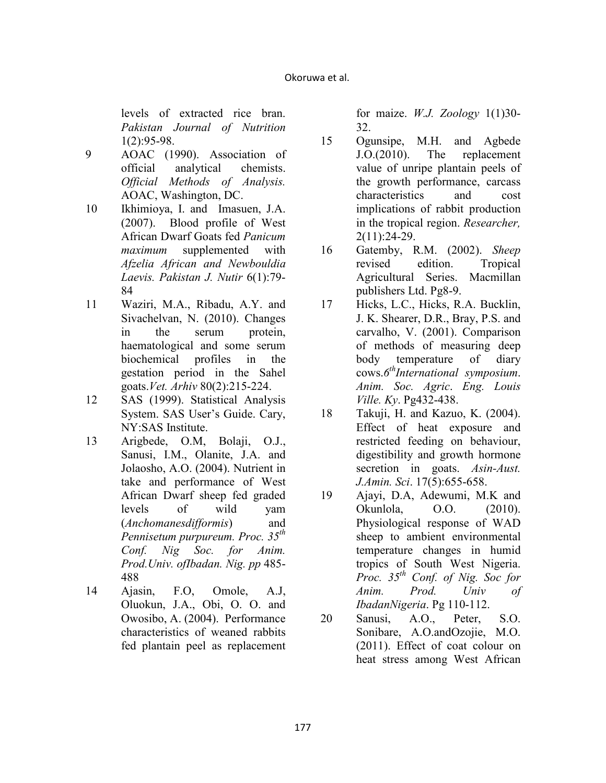levels of extracted rice bran. **Pakistan Journal of Nutrition** 1(2):95-98.

- 9 AOAC (1990). Association of official analytical chemists. *Official Methods of Analysis.* AOAC, Washington, DC.
- 10 Ikhimioya, I. and Imasuen, J.A. (2007). Blood profile of West African Dwarf Goats fed *Panicum maximum* supplemented with *Afzelia African and Newbouldia Laevis. Pakistan J. Nutir* 6(1):79-84
- 11 Waziri, M.A., Ribadu, A.Y. and Sivachelvan, N. (2010). Changes in the serum protein, haematological and some serum biochemical profiles in the gestation period in the Sahel goats.*Vet. Arhiv* 80(2):215-224.
- 12 SAS (1999). Statistical Analysis System. SAS User's Guide. Cary, NY:SAS Institute.
- 13 Arigbede, O.M, Bolaji, O.J., Sanusi, I.M., Olanite, J.A. and Jolaosho, A.O. (2004). Nutrient in take and performance of West African Dwarf sheep fed graded levels of wild yam (*Anchomanesdifformis*) and *Pennisetum purpureum. Proc. 35th Conf. Nig Soc. for Anim. Prod. Univ. ofIbadan. Nig. pp* 485-488
- 14 Ajasin, F.O, Omole, A.J, Oluokun, J.A., Obi, O. O. and Owosibo, A. (2004). Performance characteristics of weaned rabbits fed plantain peel as replacement

for maize. *W.J. Zoology* 1(1)30- 32.

- 15 Ogunsipe, M.H. and Agbede J.O.(2010). The replacement value of unripe plantain peels of the growth performance, carcass characteristics and cost implications of rabbit production in the tropical region. *Researcher,* 2(11):24-29.
- 16 Gatemby, R.M. (2002). *Sheep* revised edition. Tropical Agricultural Series. Macmillan publishers Ltd. Pg8-9.
- 17 Hicks, L.C., Hicks, R.A. Bucklin, J. K. Shearer, D.R., Bray, P.S. and carvalho, V. (2001). Comparison of methods of measuring deep body temperature of diary cows.*6 thInternational symposium*. *Anim. Soc. Agric*. *Eng. Louis Ville. Ky*. Pg432-438.
- 18 Takuji, H. and Kazuo, K. (2004). Effect of heat exposure and restricted feeding on behaviour, digestibility and growth hormone secretion in goats. *Asin-Aust. J.Amin. Sci*. 17(5):655-658.
- 19 Ajayi, D.A, Adewumi, M.K and Okunlola, O.O. (2010). Physiological response of WAD sheep to ambient environmental temperature changes in humid tropics of South West Nigeria. *Proc.* 35<sup>th</sup> Conf. of Nig. Soc for *Anim. Prod. Univ of Ibadanigeria*. Pg 110-112.
- 20 Sanusi, A.O., Peter, S.O. Sonibare, A.O.andOzojie, M.O. (2011). Effect of coat colour on heat stress among West African